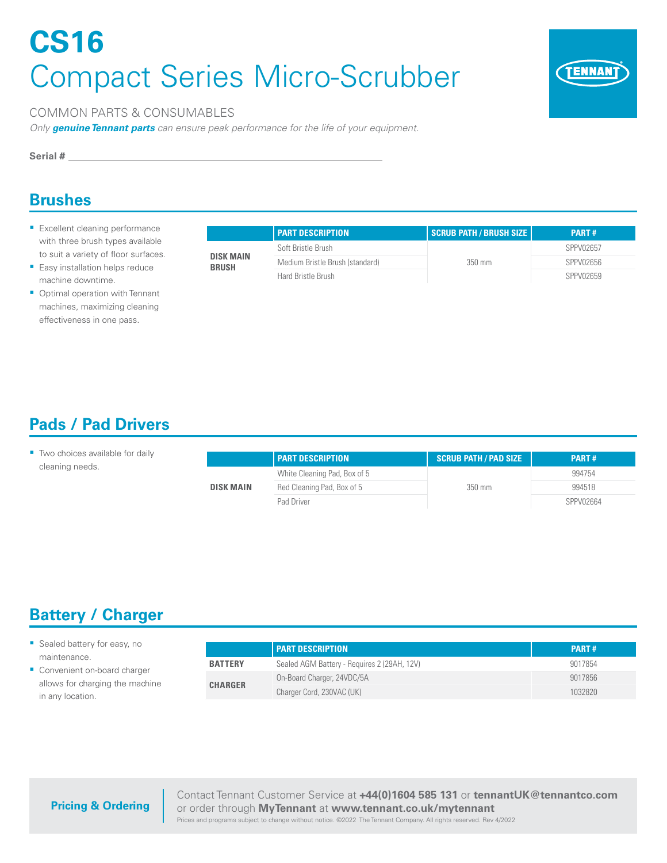# **CS16** Compact Series Micro-Scrubber



#### COMMON PARTS & CONSUMABLES

*Only genuine Tennant parts can ensure peak performance for the life of your equipment.*

**Serial #**

### **Brushes**

- **Excellent cleaning performance** with three brush types available to suit a variety of floor surfaces.
- **Easy installation helps reduce** machine downtime.
- Optimal operation with Tennant machines, maximizing cleaning effectiveness in one pass.

|                           | <b>PART DESCRIPTION</b>         | <b>SCRUB PATH / BRUSH SIZE  </b> | <b>PART#</b> |
|---------------------------|---------------------------------|----------------------------------|--------------|
| DISK MAIN<br><b>BRUSH</b> | Soft Bristle Brush              |                                  | SPPV02657    |
|                           | Medium Bristle Brush (standard) | $350 \text{ mm}$                 | SPPV02656    |
|                           | Hard Bristle Brush              |                                  | SPPV02659    |

## **Pads / Pad Drivers**

| Two choices available for daily |                  | <b>I PART DESCRIPTION</b>    | <b>SCRUB PATH / PAD SIZE</b> | <b>PART#</b> |
|---------------------------------|------------------|------------------------------|------------------------------|--------------|
| cleaning needs.                 | <b>DISK MAIN</b> | White Cleaning Pad, Box of 5 | 350 mm                       | 994754       |
|                                 |                  | Red Cleaning Pad, Box of 5   |                              | 994518       |
|                                 |                  | Pad Driver                   |                              | SPPV02664    |

# **Battery / Charger**

- Sealed battery for easy, no maintenance.
- Convenient on-board charger allows for charging the machine in any location.

|                | <b>PART DESCRIPTION</b>                     | <b>PART#</b> |
|----------------|---------------------------------------------|--------------|
| <b>BATTERY</b> | Sealed AGM Battery - Requires 2 (29AH, 12V) | 9017854      |
| <b>CHARGER</b> | On-Board Charger, 24VDC/5A                  | 9017856      |
|                | Charger Cord, 230VAC (UK)                   | 1032820      |

#### **Pricing & Ordering**

Contact Tennant Customer Service at **+44(0)1604 585 131** or **tennantUK@tennantco.com**  or order through **MyTennant** at **www.tennant.co.uk/mytennant**

Prices and programs subject to change without notice. ©2022 The Tennant Company. All rights reserved. Rev 4/2022